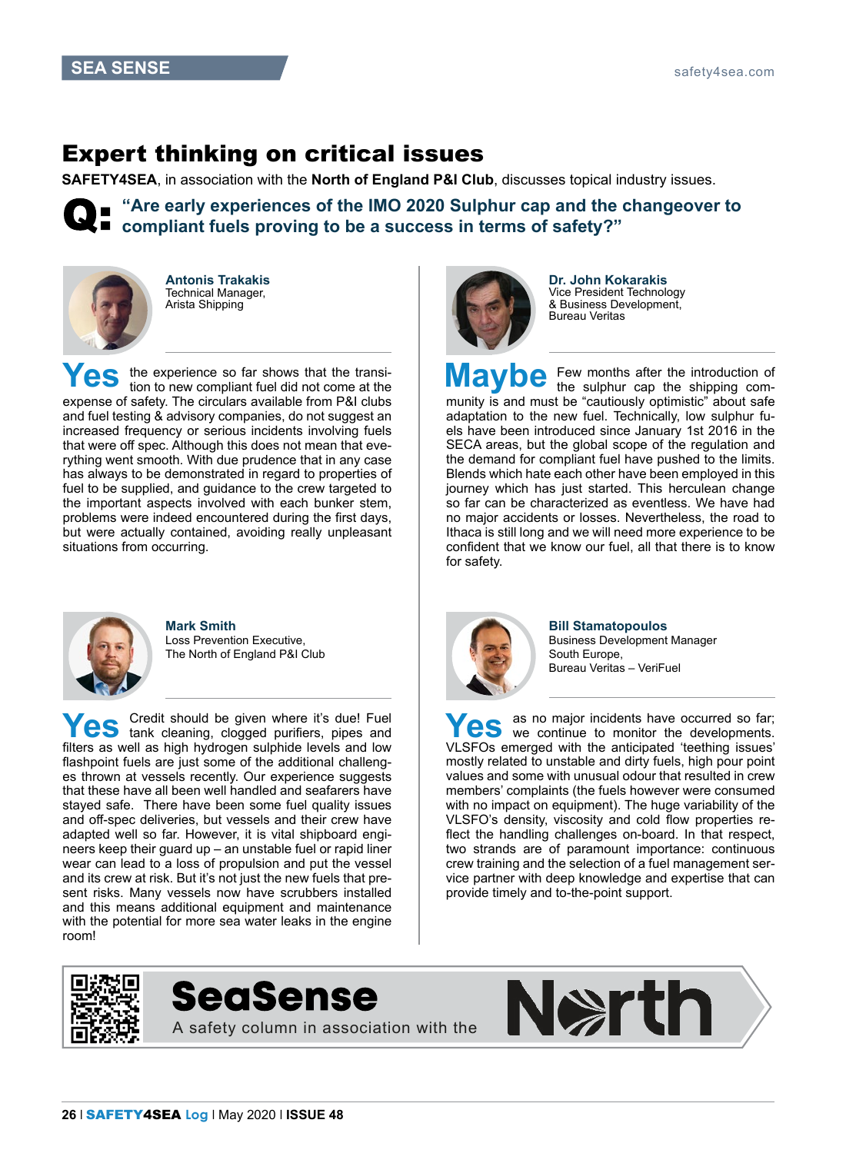## Expert thinking on critical issues

**SAFETY4SEA**, in association with the **North of England P&I Club**, discusses topical industry issues.

**"Are early experiences of the IMO 2020 Sulphur cap and the changeover to compliant fuels proving to be a success in terms of safety?"**



**Antonis Trakakis** Technical Manager, Arista Shipping

**Yes** the experience so far shows that the transition to new compliant fuel did not come at the expense of safety. The circulars available from P&I clubs and fuel testing & advisory companies, do not suggest an increased frequency or serious incidents involving fuels that were off spec. Although this does not mean that everything went smooth. With due prudence that in any case has always to be demonstrated in regard to properties of fuel to be supplied, and guidance to the crew targeted to the important aspects involved with each bunker stem, problems were indeed encountered during the first days, but were actually contained, avoiding really unpleasant situations from occurring.



**Mark Smith** Loss Prevention Executive, The North of England P&I Club

**Yes** Credit should be given where it's due! Fuel tank cleaning, clogged purifiers, pipes and law filters as well as high hydrogen sulphide levels and low flashpoint fuels are just some of the additional challenges thrown at vessels recently. Our experience suggests that these have all been well handled and seafarers have stayed safe. There have been some fuel quality issues and off-spec deliveries, but vessels and their crew have adapted well so far. However, it is vital shipboard engineers keep their guard up – an unstable fuel or rapid liner wear can lead to a loss of propulsion and put the vessel and its crew at risk. But it's not just the new fuels that present risks. Many vessels now have scrubbers installed and this means additional equipment and maintenance with the potential for more sea water leaks in the engine room!



**Dr. John Kokarakis** Vice President Technology & Business Development, Bureau Veritas

**Maybe** Few months after the introduction of the sulphur cap the shipping community is and must be "cautiously optimistic" about safe adaptation to the new fuel. Technically, low sulphur fuels have been introduced since January 1st 2016 in the SECA areas, but the global scope of the regulation and the demand for compliant fuel have pushed to the limits. Blends which hate each other have been employed in this journey which has just started. This herculean change so far can be characterized as eventless. We have had no major accidents or losses. Nevertheless, the road to Ithaca is still long and we will need more experience to be confident that we know our fuel, all that there is to know for safety.



**Bill Stamatopoulos** Business Development Manager South Europe, Bureau Veritas – VeriFuel

**Yes** as no major incidents have occurred so far;<br>We continue to monitor the developments. VLSFOs emerged with the anticipated 'teething issues' mostly related to unstable and dirty fuels, high pour point values and some with unusual odour that resulted in crew members' complaints (the fuels however were consumed with no impact on equipment). The huge variability of the VLSFO's density, viscosity and cold flow properties reflect the handling challenges on-board. In that respect, two strands are of paramount importance: continuous crew training and the selection of a fuel management service partner with deep knowledge and expertise that can provide timely and to-the-point support.





A safety column in association with the